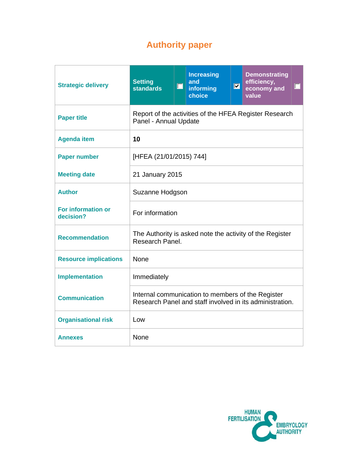# **Authority paper**

| <b>Strategic delivery</b>              | <b>Setting</b><br><b>standards</b>                                                                            | $\Box$ | <b>Increasing</b><br>and<br>informing<br>choice | $\blacksquare$ | <b>Demonstrating</b><br>efficiency,<br>$\Box$<br>economy and<br>value |
|----------------------------------------|---------------------------------------------------------------------------------------------------------------|--------|-------------------------------------------------|----------------|-----------------------------------------------------------------------|
| <b>Paper title</b>                     | Report of the activities of the HFEA Register Research<br>Panel - Annual Update                               |        |                                                 |                |                                                                       |
| <b>Agenda item</b>                     | 10                                                                                                            |        |                                                 |                |                                                                       |
| <b>Paper number</b>                    | [HFEA (21/01/2015) 744]                                                                                       |        |                                                 |                |                                                                       |
| <b>Meeting date</b>                    | 21 January 2015                                                                                               |        |                                                 |                |                                                                       |
| <b>Author</b>                          | Suzanne Hodgson                                                                                               |        |                                                 |                |                                                                       |
| <b>For information or</b><br>decision? | For information                                                                                               |        |                                                 |                |                                                                       |
| <b>Recommendation</b>                  | The Authority is asked note the activity of the Register<br>Research Panel.                                   |        |                                                 |                |                                                                       |
| <b>Resource implications</b>           | None                                                                                                          |        |                                                 |                |                                                                       |
| <b>Implementation</b>                  | Immediately                                                                                                   |        |                                                 |                |                                                                       |
| <b>Communication</b>                   | Internal communication to members of the Register<br>Research Panel and staff involved in its administration. |        |                                                 |                |                                                                       |
| <b>Organisational risk</b>             | Low                                                                                                           |        |                                                 |                |                                                                       |
| <b>Annexes</b>                         | None                                                                                                          |        |                                                 |                |                                                                       |

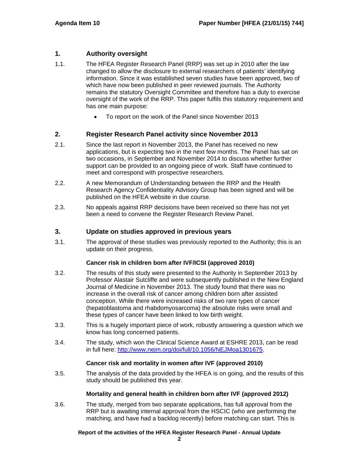# **1. Authority oversight**

- 1.1. The HFEA Register Research Panel (RRP) was set up in 2010 after the law changed to allow the disclosure to external researchers of patients' identifying information. Since it was established seven studies have been approved, two of which have now been published in peer reviewed journals. The Authority remains the statutory Oversight Committee and therefore has a duty to exercise oversight of the work of the RRP. This paper fulfils this statutory requirement and has one main purpose:
	- To report on the work of the Panel since November 2013

# **2. Register Research Panel activity since November 2013**

- 2.1. Since the last report in November 2013, the Panel has received no new applications, but is expecting two in the next few months. The Panel has sat on two occasions, in September and November 2014 to discuss whether further support can be provided to an ongoing piece of work. Staff have continued to meet and correspond with prospective researchers.
- 2.2. A new Memorandum of Understanding between the RRP and the Health Research Agency Confidentiality Advisory Group has been signed and will be published on the HFEA website in due course.
- 2.3. No appeals against RRP decisions have been received so there has not yet been a need to convene the Register Research Review Panel.

# **3. Update on studies approved in previous years**

3.1. The approval of these studies was previously reported to the Authority; this is an update on their progress.

## **Cancer risk in children born after IVF/ICSI (approved 2010)**

- 3.2. The results of this study were presented to the Authority in September 2013 by Professor Alastair Sutcliffe and were subsequently published in the New England Journal of Medicine in November 2013. The study found that there was no increase in the overall risk of cancer among children born after assisted conception. While there were increased risks of two rare types of cancer (hepatoblastoma and rhabdomyosarcoma) the absolute risks were small and these types of cancer have been linked to low birth weight.
- 3.3. This is a hugely important piece of work, robustly answering a question which we know has long concerned patients.
- 3.4. The study, which won the Clinical Science Award at ESHRE 2013, can be read in full here: http://www.nejm.org/doi/full/10.1056/NEJMoa1301675.

## **Cancer risk and mortality in women after IVF (approved 2010)**

3.5. The analysis of the data provided by the HFEA is on going, and the results of this study should be published this year.

## **Mortality and general health in children born after IVF (approved 2012)**

3.6. The study, merged from two separate applications, has full approval from the RRP but is awaiting internal approval from the HSCIC (who are performing the matching, and have had a backlog recently) before matching can start. This is

## **Report of the activities of the HFEA Register Research Panel - Annual Update**